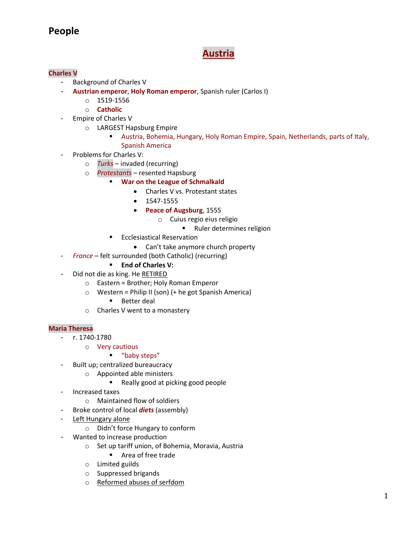# **People**

# **Austria**

# **Charles V**

- Background of Charles V
- **Austrian emperor**, **Holy Roman emperor**, Spanish ruler (Carlos I)
	- $O$  1519-1556
	- o **Catholic**
- Empire of Charles V
	- o LARGEST Hapsburg Empire
		- Austria, Bohemia, Hungary, Holy Roman Empire, Spain, Netherlands, parts of Italy, Spanish America
- Problems for Charles V:
	- o *Turks* invaded (recurring)
	- o *Protestants* resented Hapsburg
		- **War on the League of Schmalkald** 
			- Charles V vs. Protestant states
			- 1547-1555
			- **Peace of Augsburg**, 1555
				- o Cuius regio eius religio
					- **Ruler determines religion**
		- Ecclesiastical Reservation
			- Can't take anymore church property
- *France* felt surrounded (both Catholic) (recurring)
	- **End of Charles V:**
- Did not die as king. He RETIRED
	- o Eastern = Brother; Holy Roman Emperor
	- $\circ$  Western = Philip II (son) (+ he got Spanish America)
		- **Better deal**
	- o Charles V went to a monastery

## **Maria Theresa**

- r. 1740-1780
	- o Very cautious

## **"** "baby steps"

- Built up; centralized bureaucracy
	- o Appointed able ministers
		- Really good at picking good people
- Increased taxes
	- o Maintained flow of soldiers
- Broke control of local *diets* (assembly)
- Left Hungary alone
	- o Didn't force Hungary to conform
- Wanted to increase production
	- o Set up tariff union, of Bohemia, Moravia, Austria
		- Area of free trade
	- o Limited guilds
	- o Suppressed brigands
	- o Reformed abuses of serfdom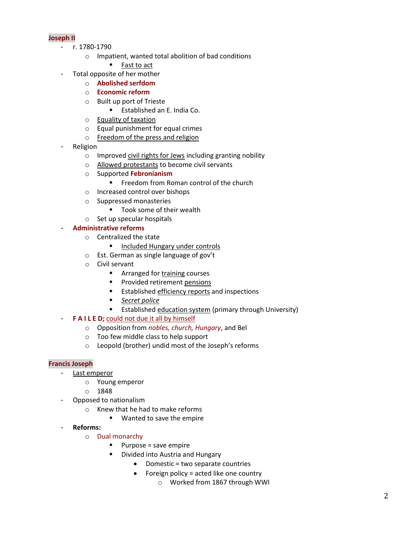# **Joseph II**

- r. 1780-1790
	- o Impatient, wanted total abolition of bad conditions
		- Fast to act
- Total opposite of her mother
	- o **Abolished serfdom**
	- o **Economic reform**
	- o Built up port of Trieste
		- **Established an E. India Co.**
	- o Equality of taxation
	- o Equal punishment for equal crimes
	- o Freedom of the press and religion
- **Religion** 
	- o Improved civil rights for Jews including granting nobility
	- o Allowed protestants to become civil servants
	- o Supported **Febronianism**
		- **FILM** Freedom from Roman control of the church
	- o Increased control over bishops
	- o Suppressed monasteries
		- **Took some of their wealth**
	- o Set up specular hospitals

# - **Administrative reforms**

- o Centralized the state
	- **Included Hungary under controls**
- o Est. German as single language of gov't
- o Civil servant
	- **Arranged for training courses**
	- **Provided retirement pensions**
	- **Established efficiency reports and inspections**
	- *Secret police*
	- **Established education system (primary through University)**
- **F A I L E D;** could not due it all by himself
	- o Opposition from *nobles, church, Hungary*, and Bel
	- o Too few middle class to help support
	- o Leopold (brother) undid most of the Joseph's reforms

# **Francis Joseph**

- Last emperor
	- o Young emperor
	- o 1848
- Opposed to nationalism
	- o Knew that he had to make reforms
		- **Wanted to save the empire**
- **Reforms:**
	- o Dual monarchy
		- Purpose = save empire
		- Divided into Austria and Hungary
			- Domestic = two separate countries
			- Foreign policy = acted like one country
				- o Worked from 1867 through WWI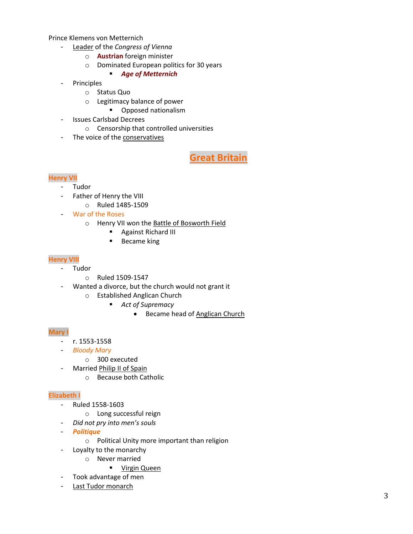Prince Klemens von Metternich

- Leader of the *Congress of Vienna*
	- o **Austrian** foreign minister
	- o Dominated European politics for 30 years
		- *Age of Metternich*
- Principles
	- o Status Quo
	- o Legitimacy balance of power
		- **•** Opposed nationalism
- Issues Carlsbad Decrees
	- o Censorship that controlled universities
- The voice of the conservatives

**Great Britain**

# **Henry VII**

- Tudor
- Father of Henry the VIII
	- o Ruled 1485-1509
- War of the Roses
	- o Henry VII won the Battle of Bosworth Field
		- **Against Richard III**
		- **Became king**

#### **Henry VIII**

- Tudor
	- o Ruled 1509-1547
	- Wanted a divorce, but the church would not grant it
		- o Established Anglican Church
			- *Act of Supremacy* 
				- Became head of Anglican Church

#### **Mary I**

- r. 1553-1558
- *Bloody Mary* 
	- o 300 executed
	- Married Philip II of Spain
		- o Because both Catholic

#### **Elizabeth I**

- Ruled 1558-1603
	- o Long successful reign
- *Did not pry into men's souls*
- *Politique*
	- o Political Unity more important than religion
- Loyalty to the monarchy
	- o Never married
		- **•** Virgin Queen
- Took advantage of men
- Last Tudor monarch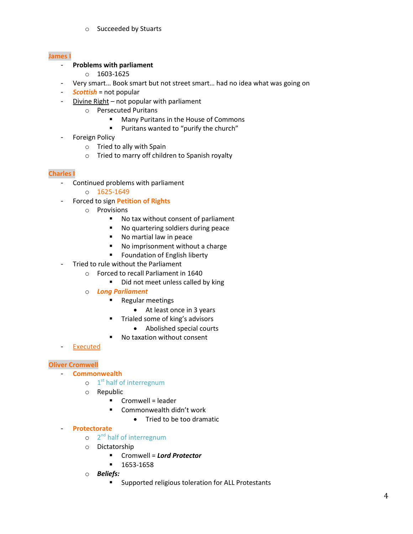o Succeeded by Stuarts

## **James I**

# - **Problems with parliament**

- o 1603-1625
- Very smart... Book smart but not street smart... had no idea what was going on
- **Scottish** = not popular
- Divine Right not popular with parliament
	- o Persecuted Puritans
		- Many Puritans in the House of Commons
		- Puritans wanted to "purify the church"
- Foreign Policy
	- o Tried to ally with Spain
	- o Tried to marry off children to Spanish royalty

# **Charles I**

- Continued problems with parliament
	- o 1625-1649
- Forced to sign **Petition of Rights**
	- o Provisions
		- No tax without consent of parliament
		- **No quartering soldiers during peace**
		- **No martial law in peace**
		- No imprisonment without a charge
		- **Foundation of English liberty**
- Tried to rule without the Parliament
	- o Forced to recall Parliament in 1640
		- Did not meet unless called by king
	- o *Long Parliament* 
		- **Regular meetings** 
			- At least once in 3 years
		- Trialed some of king's advisors
			- Abolished special courts
		- No taxation without consent
- **Executed**

## **Oliver Cromwell**

- **Commonwealth** 
	- $o$  1<sup>st</sup> half of interregnum
	- o Republic
		- Cromwell = leader
		- **E** Commonwealth didn't work
			- Tried to be too dramatic

## - **Protectorate**

- o 2<sup>nd</sup> half of interregnum
- o Dictatorship
	- Cromwell = *Lord Protector*
	- 1653-1658
- o *Beliefs:*
	- Supported religious toleration for ALL Protestants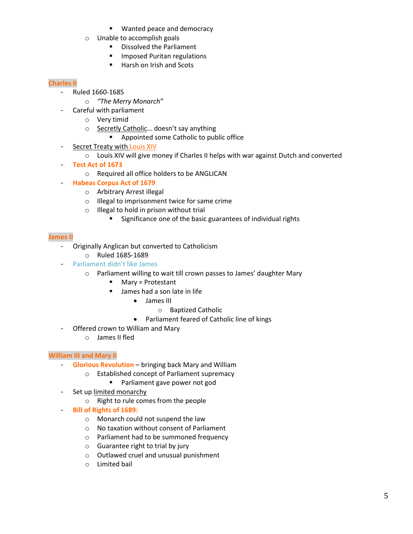- **Wanted peace and democracy**
- o Unable to accomplish goals
	- **Dissolved the Parliament**
	- **Imposed Puritan regulations**
	- Harsh on Irish and Scots

# **Charles II**

- Ruled 1660-1685
	- o *"The Merry Monarch"*
	- Careful with parliament
		- o Very timid
		- o Secretly Catholic… doesn't say anything
			- **Appointed some Catholic to public office**
- Secret Treaty with Louis XIV
	- o Louis XIV will give money if Charles II helps with war against Dutch and converted
- **Test Act of 1673**
	- o Required all office holders to be ANGLICAN
- **Habeas Corpus Act of 1679**
	- o Arbitrary Arrest illegal
	- o Illegal to imprisonment twice for same crime
	- o Illegal to hold in prison without trial
		- **Significance one of the basic guarantees of individual rights**

# **James II**

- Originally Anglican but converted to Catholicism
	- o Ruled 1685-1689
	- Parliament didn't like James
		- o Parliament willing to wait till crown passes to James' daughter Mary
			- **Mary = Protestant**
			- **James had a son late in life** 
				- James III
					- o Baptized Catholic
				- Parliament feared of Catholic line of kings
- Offered crown to William and Mary
	- o James II fled

# **William III and Mary II**

- **Glorious Revolution** bringing back Mary and William
	- o Established concept of Parliament supremacy
		- **Parliament gave power not god**
- Set up limited monarchy
	- o Right to rule comes from the people
- **Bill of Rights of 1689:**
	- o Monarch could not suspend the law
	- o No taxation without consent of Parliament
	- o Parliament had to be summoned frequency
	- $\circ$  Guarantee right to trial by jury
	- o Outlawed cruel and unusual punishment
	- o Limited bail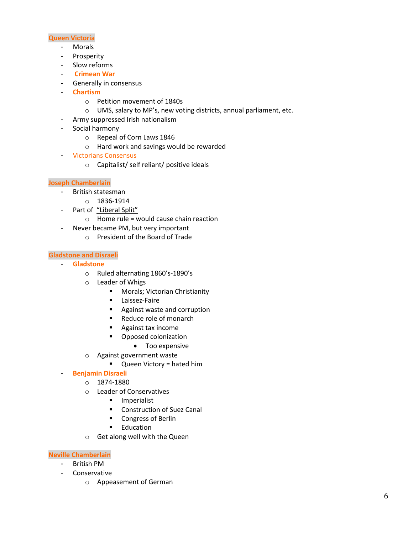#### **Queen Victoria**

- Morals
- Prosperity
- Slow reforms
- **Crimean War**
- Generally in consensus
- **Chartism** 
	- o Petition movement of 1840s
	- o UMS, salary to MP's, new voting districts, annual parliament, etc.
- Army suppressed Irish nationalism
- Social harmony
	- o Repeal of Corn Laws 1846
	- o Hard work and savings would be rewarded
- Victorians Consensus
	- o Capitalist/ self reliant/ positive ideals

# **Joseph Chamberlain**

- British statesman
	- o 1836-1914
	- Part of "Liberal Split"
		- $\circ$  Home rule = would cause chain reaction
- Never became PM, but very important
	- o President of the Board of Trade

## **Gladstone and Disraeli**

- **Gladstone**
	- o Ruled alternating 1860's-1890's
	- o Leader of Whigs
		- **Morals; Victorian Christianity**
		- **Laissez-Faire**
		- **Against waste and corruption**
		- Reduce role of monarch
		- **Against tax income**
		- **•** Opposed colonization
			- Too expensive
	- o Against government waste
		- **Queen Victory = hated him**

## - **Benjamin Disraeli**

- o 1874-1880
- o Leader of Conservatives
	- **Imperialist**
	- Construction of Suez Canal
	- **Congress of Berlin**
	- **Education**
- o Get along well with the Queen

## **Neville Chamberlain**

- British PM
- Conservative
	- o Appeasement of German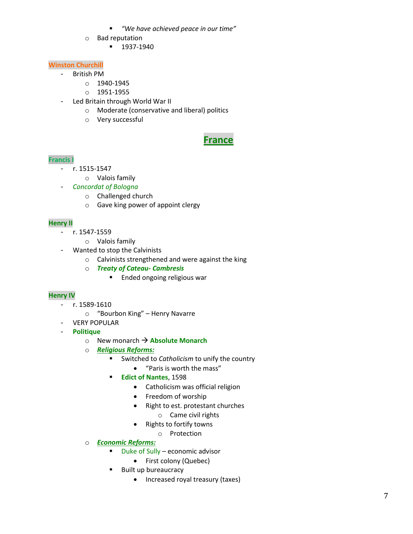- *"We have achieved peace in our time"*
- o Bad reputation
	- 1937-1940

# **Winston Churchill**

- British PM
	- o 1940-1945
	- o 1951-1955
- Led Britain through World War II
	- o Moderate (conservative and liberal) politics
	- o Very successful

# **France**

# **Francis I**

- r. 1515-1547
	- o Valois family
	- *Concordat of Bologna* 
		- o Challenged church
		- o Gave king power of appoint clergy

# **Henry II**

- r. 1547-1559
	- o Valois family
- Wanted to stop the Calvinists
	- o Calvinists strengthened and were against the king
	- o *Treaty of Cateau- Cambresis*
		- **Ended ongoing religious war**

# **Henry IV**

- r. 1589-1610
	- o "Bourbon King" Henry Navarre
- VERY POPULAR
- **Politique** 
	- o New monarch **Absolute Monarch**
	- o *Religious Reforms:*
		- Switched to *Catholicism* to unify the country
			- "Paris is worth the mass"
		- **Edict of Nantes**, 1598
			- Catholicism was official religion
			- Freedom of worship
			- Right to est. protestant churches
				- o Came civil rights
			- Rights to fortify towns
				- o Protection
	- o *Economic Reforms:*
		- Duke of Sully economic advisor
			- First colony (Quebec)
		- **Built up bureaucracy** 
			- Increased royal treasury (taxes)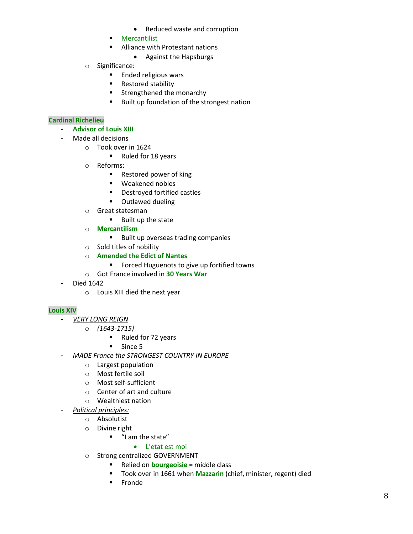- Reduced waste and corruption
- **Mercantilist**
- Alliance with Protestant nations
	- Against the Hapsburgs
- o Significance:
	- **Ended religious wars**
	- **Restored stability**
	- **Strengthened the monarchy**
	- Built up foundation of the strongest nation

# **Cardinal Richelieu**

- **Advisor of Louis XIII**
- Made all decisions
	- o Took over in 1624
		- Ruled for 18 years
	- o Reforms:
		- Restored power of king
		- **Weakened nobles**
		- **•** Destroyed fortified castles
		- **•** Outlawed dueling
	- o Great statesman
		- **Built up the state**
	- o **Mercantilism** 
		- Built up overseas trading companies
	- o Sold titles of nobility
	- o **Amended the Edict of Nantes** 
		- **FICT** Forced Huguenots to give up fortified towns
	- o Got France involved in **30 Years War**
- Died 1642
	- o Louis XIII died the next year

# **Louis XIV**

- *VERY LONG REIGN* 
	- o *(1643-1715)*
		- Ruled for 72 years
		- **Since 5**
- *MADE France the STRONGEST COUNTRY IN EUROPE*
	- o Largest population
	- o Most fertile soil
	- o Most self-sufficient
	- o Center of art and culture
	- o Wealthiest nation
	- *Political principles:*
		- o Absolutist
		- o Divine right
			- **"** "I am the state"

# L'etat est moi

- o Strong centralized GOVERNMENT
	- **Relied on bourgeoisie** = middle class
	- Took over in 1661 when **Mazzarin** (chief, minister, regent) died
	- **Fronde**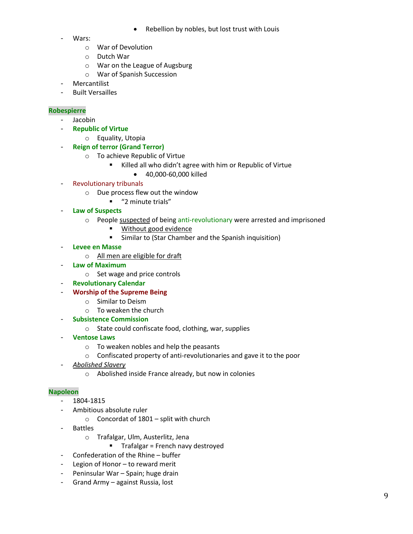- Rebellion by nobles, but lost trust with Louis
- Wars:
	- o War of Devolution
	- o Dutch War
	- o War on the League of Augsburg
	- o War of Spanish Succession
- Mercantilist
- Built Versailles

## **Robespierre**

- Jacobin
- **Republic of Virtue**
	- o Equality, Utopia
- **Reign of terror (Grand Terror)**
	- o To achieve Republic of Virtue
		- Killed all who didn't agree with him or Republic of Virtue
			- 40,000-60,000 killed
- Revolutionary tribunals
	- o Due process flew out the window
		- "<sup>2</sup> minute trials"
- **Law of Suspects** 
	- o People suspected of being anti-revolutionary were arrested and imprisoned
		- Without good evidence
		- **Similar to (Star Chamber and the Spanish inquisition)**
- **Levee en Masse** 
	- o All men are eligible for draft
- **Law of Maximum** 
	- o Set wage and price controls
- **Revolutionary Calendar**
- **Worship of the Supreme Being** 
	- o Similar to Deism
	- o To weaken the church
- **Subsistence Commission**
	- o State could confiscate food, clothing, war, supplies
- **Ventose Laws** 
	- o To weaken nobles and help the peasants
	- o Confiscated property of anti-revolutionaries and gave it to the poor
- *Abolished Slavery* 
	- o Abolished inside France already, but now in colonies

## **Napoleon**

- 1804-1815
- Ambitious absolute ruler
	- $\circ$  Concordat of 1801 split with church
- Battles
	- o Trafalgar, Ulm, Austerlitz, Jena
		- $\blacksquare$  Trafalgar = French navy destroyed
- Confederation of the Rhine buffer
- Legion of Honor to reward merit
- Peninsular War Spain; huge drain
- Grand Army against Russia, lost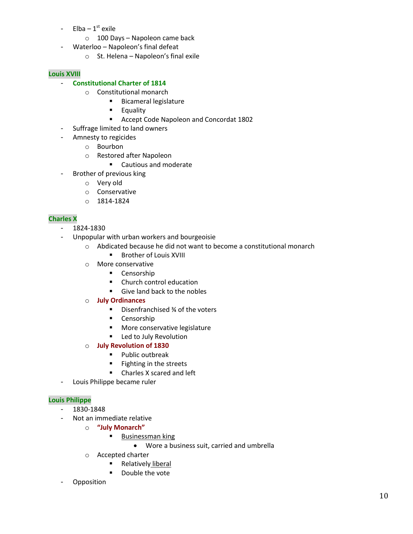- $Elba 1<sup>st</sup> exile$ 
	- o 100 Days Napoleon came back
- Waterloo Napoleon's final defeat
	- o St. Helena Napoleon's final exile

# **Louis XVIII**

## - **Constitutional Charter of 1814**

- o Constitutional monarch
	- **Bicameral legislature**
	- **Equality**
	- Accept Code Napoleon and Concordat 1802
- Suffrage limited to land owners
- Amnesty to regicides
	- o Bourbon
	- o Restored after Napoleon
		- Cautious and moderate
- Brother of previous king
	- o Very old
	- o Conservative
	- o 1814-1824

# **Charles X**

- 1824-1830
- Unpopular with urban workers and bourgeoisie
	- o Abdicated because he did not want to become a constitutional monarch **Brother of Louis XVIII**
	- o More conservative
		- **Censorship**
		- **Church control education**
		- Give land back to the nobles
	- o **July Ordinances** 
		- Disenfranchised ¾ of the voters
		- **Censorship**
		- **More conservative legislature**
		- **E** Led to July Revolution
	- o **July Revolution of 1830**
		- **Public outbreak**
		- **Fighting in the streets**
		- Charles X scared and left
- Louis Philippe became ruler

## **Louis Philippe**

- 1830-1848
- Not an immediate relative
	- o **"July Monarch"**
		- **Businessman king** 
			- Wore a business suit, carried and umbrella
	- o Accepted charter
		- **Relatively liberal**
		- **Double the vote**
- **Opposition**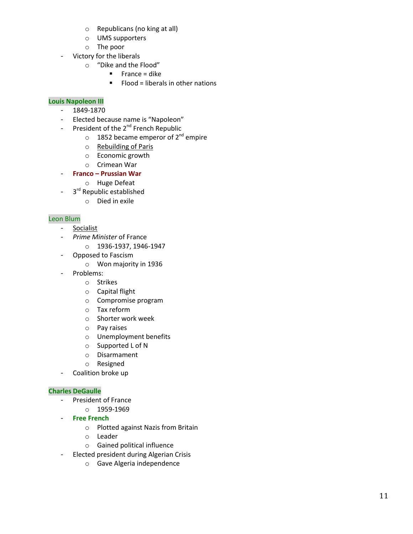- o Republicans (no king at all)
- o UMS supporters
- o The poor
- Victory for the liberals
	- o "Dike and the Flood"
		- $\blacksquare$  France = dike
		- $\blacksquare$  Flood = liberals in other nations

# **Louis Napoleon III**

- 1849-1870
- Elected because name is "Napoleon"
- President of the 2<sup>nd</sup> French Republic
	- $\circ$  1852 became emperor of 2<sup>nd</sup> empire
	- o Rebuilding of Paris
	- o Economic growth
	- o Crimean War
- **Franco – Prussian War**
	- o Huge Defeat
- 3<sup>rd</sup> Republic established
	- o Died in exile

# Leon Blum

- Socialist
- *Prime Minister* of France
	- $O$  1936-1937, 1946-1947
- Opposed to Fascism
	- o Won majority in 1936
- Problems:
	- o Strikes
	- o Capital flight
	- o Compromise program
	- o Tax reform
	- o Shorter work week
	- o Pay raises
	- o Unemployment benefits
	- o Supported L of N
	- o Disarmament
	- o Resigned
- Coalition broke up

## **Charles DeGaulle**

- President of France
	- o 1959-1969
- **Free French** 
	- o Plotted against Nazis from Britain
	- o Leader
	- o Gained political influence
- Elected president during Algerian Crisis
	- o Gave Algeria independence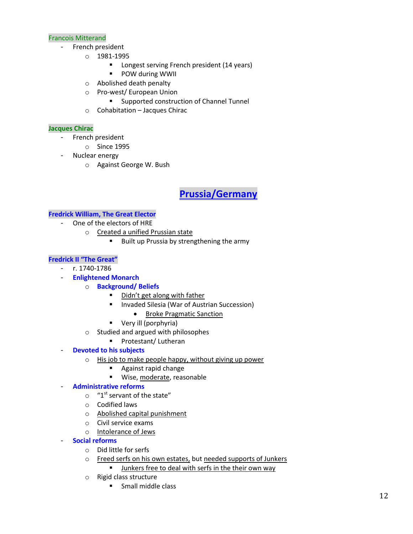## Francois Mitterand

- French president
	- o 1981-1995
		- **Longest serving French president (14 years)**
		- **POW during WWII**
	- o Abolished death penalty
	- o Pro-west/ European Union
		- **EXECUTE:** Supported construction of Channel Tunnel
	- o Cohabitation Jacques Chirac

## **Jacques Chirac**

- French president
	- o Since 1995
- Nuclear energy
	- o Against George W. Bush

# **Prussia/Germany**

## **Fredrick William, The Great Elector**

- One of the electors of HRE
	- o Created a unified Prussian state
		- Built up Prussia by strengthening the army

# **Fredrick II "The Great"**

- r. 1740-1786
	- **Enlightened Monarch**
		- o **Background/ Beliefs**
			- $\blacksquare$  Didn't get along with father
			- Invaded Silesia (War of Austrian Succession)
				- Broke Pragmatic Sanction
			- **very ill (porphyria)**
		- o Studied and argued with philosophes
			- Protestant/ Lutheran
- **Devoted to his subjects** 
	- o His job to make people happy, without giving up power
		- **Against rapid change**
		- Wise, moderate, reasonable

## - **Administrative reforms**

- $\circ$  "1<sup>st</sup> servant of the state"
- o Codified laws
- o Abolished capital punishment
- o Civil service exams
- o Intolerance of Jews
- **Social reforms** 
	- o Did little for serfs
	- o Freed serfs on his own estates, but needed supports of Junkers **U** Junkers free to deal with serfs in the their own way
	- o Rigid class structure
		- **Small middle class**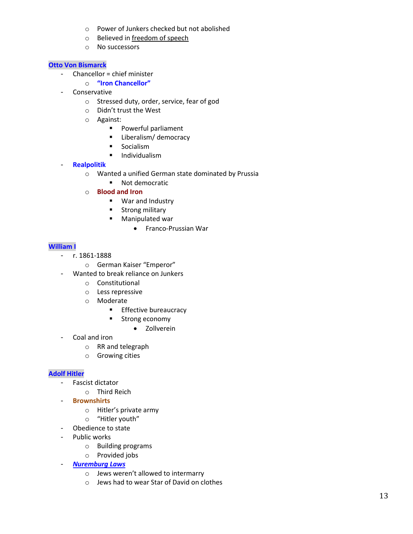- o Power of Junkers checked but not abolished
- o Believed in freedom of speech
- o No successors

# **Otto Von Bismarck**

- Chancellor = chief minister
	- o **"Iron Chancellor"**
- Conservative
	- o Stressed duty, order, service, fear of god
	- o Didn't trust the West
	- o Against:
		- **Powerful parliament**
		- **E** Liberalism/ democracy
		- **Socialism**
		- **Individualism**
- **Realpolitik** 
	- o Wanted a unified German state dominated by Prussia
		- **Not democratic**
	- o **Blood and Iron**
		- **War and Industry**
		- **EXECUTE:** Strong military
		- **Manipulated war** 
			- Franco-Prussian War

# **William I**

- r. 1861-1888
	- o German Kaiser "Emperor"
- Wanted to break reliance on Junkers
	- o Constitutional
	- o Less repressive
	- o Moderate
		- **Effective bureaucracy**
		- **Strong economy** 
			- Zollverein
- Coal and iron
	- o RR and telegraph
	- o Growing cities

## **Adolf Hitler**

- Fascist dictator
	- o Third Reich
- **Brownshirts**
	- o Hitler's private army
	- o "Hitler youth"
- Obedience to state
- Public works
	- o Building programs
	- o Provided jobs
- *Nuremburg Laws* 
	- o Jews weren't allowed to intermarry
	- o Jews had to wear Star of David on clothes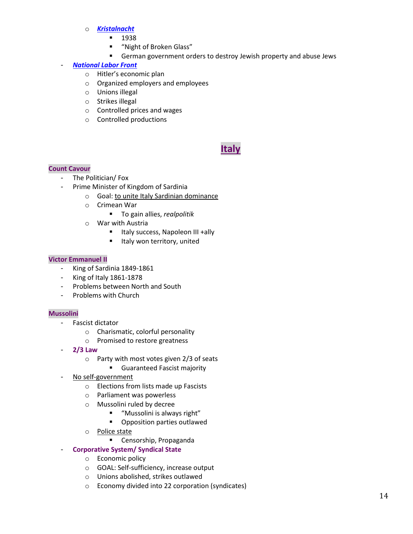## o *Kristalnacht*

- 1938
- "Night of Broken Glass"
- German government orders to destroy Jewish property and abuse Jews

# - *National Labor Front*

- o Hitler's economic plan
- o Organized employers and employees
- o Unions illegal
- o Strikes illegal
- o Controlled prices and wages
- o Controlled productions

# **Italy**

## **Count Cavour**

- The Politician/ Fox
- Prime Minister of Kingdom of Sardinia
	- o Goal: to unite Italy Sardinian dominance
	- o Crimean War
		- To gain allies, *realpolitik*
	- o War with Austria
		- Italy success, Napoleon III +ally
		- **If Italy won territory, united**

## **Victor Emmanuel II**

- King of Sardinia 1849-1861
- King of Italy 1861-1878
- Problems between North and South
- Problems with Church

## **Mussolini**

- Fascist dictator
	- o Charismatic, colorful personality
	- o Promised to restore greatness
- **2/3 Law**
	- o Party with most votes given 2/3 of seats
		- **Guaranteed Fascist majority**
- No self-government
	- o Elections from lists made up Fascists
	- o Parliament was powerless
	- o Mussolini ruled by decree
		- "Mussolini is always right"
		- **•** Opposition parties outlawed
	- o Police state
		- **E** Censorship, Propaganda

# - **Corporative System/ Syndical State**

- o Economic policy
- o GOAL: Self-sufficiency, increase output
- o Unions abolished, strikes outlawed
- o Economy divided into 22 corporation (syndicates)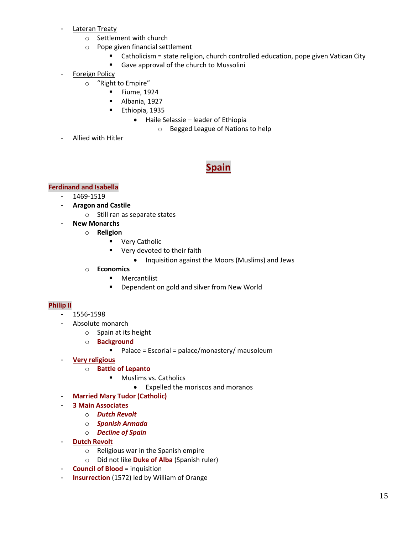- Lateran Treaty
	- o Settlement with church
	- o Pope given financial settlement
		- Catholicism = state religion, church controlled education, pope given Vatican City
		- Gave approval of the church to Mussolini
- Foreign Policy
	- o "Right to Empire"
		- **Fiume, 1924**
		- Albania, 1927
		- **Ethiopia, 1935** 
			- Haile Selassie leader of Ethiopia
				- o Begged League of Nations to help
- Allied with Hitler

# **Spain**

# **Ferdinand and Isabella**

- 1469-1519
- **Aragon and Castile**
	- o Still ran as separate states
- **New Monarchs** 
	- o **Religion** 
		- **•** Very Catholic
		- **very devoted to their faith** 
			- Inquisition against the Moors (Muslims) and Jews
		- o **Economics** 
			- **Mercantilist**
			- **Dependent on gold and silver from New World**

# **Philip II**

- 1556-1598
- Absolute monarch
	- o Spain at its height
	- o **Background** 
		- $\blacksquare$  Palace = Escorial = palace/monastery/ mausoleum
- **Very religious** 
	- o **Battle of Lepanto** 
		- **Muslims vs. Catholics** 
			- Expelled the moriscos and moranos
- **Married Mary Tudor (Catholic)**
- **3 Main Associates** 
	- o *Dutch Revolt*
	- o *Spanish Armada*
	- o *Decline of Spain*
- **Dutch Revolt** 
	- o Religious war in the Spanish empire
	- o Did not like **Duke of Alba** (Spanish ruler)
- **Council of Blood** = inquisition
- **Insurrection** (1572) led by William of Orange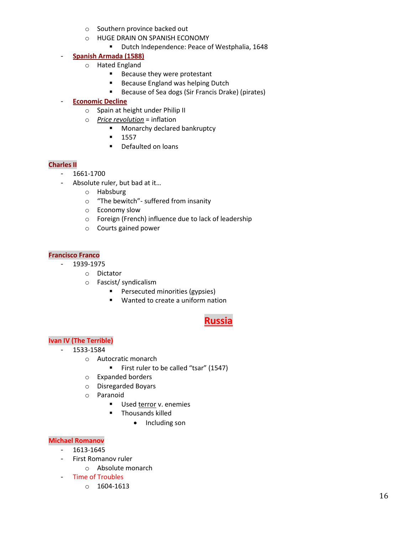- o Southern province backed out
- o HUGE DRAIN ON SPANISH ECONOMY
	- **Dutch Independence: Peace of Westphalia, 1648**

# - **Spanish Armada (1588)**

- o Hated England
	- **Because they were protestant**
	- Because England was helping Dutch
	- **Because of Sea dogs (Sir Francis Drake) (pirates)**

# - **Economic Decline**

- o Spain at height under Philip II
- o *Price revolution* = inflation
	- **Monarchy declared bankruptcy**
	- $-1557$
	- **•** Defaulted on loans

# **Charles II**

- 1661-1700
- Absolute ruler, but bad at it…
	- o Habsburg
	- o "The bewitch"- suffered from insanity
	- o Economy slow
	- o Foreign (French) influence due to lack of leadership
	- o Courts gained power

## **Francisco Franco**

## - 1939-1975

- o Dictator
- o Fascist/ syndicalism
	- **Persecuted minorities (gypsies)**
	- Wanted to create a uniform nation

# **Russia**

# **Ivan IV (The Terrible)**

- 1533-1584
	- o Autocratic monarch
		- First ruler to be called "tsar" (1547)
	- o Expanded borders
	- o Disregarded Boyars
	- o Paranoid
		- Used terror v. enemies
		- **Thousands killed** 
			- Including son

## **Michael Romanov**

- 1613-1645
- First Romanov ruler
	- o Absolute monarch
- Time of Troubles
	- o 1604-1613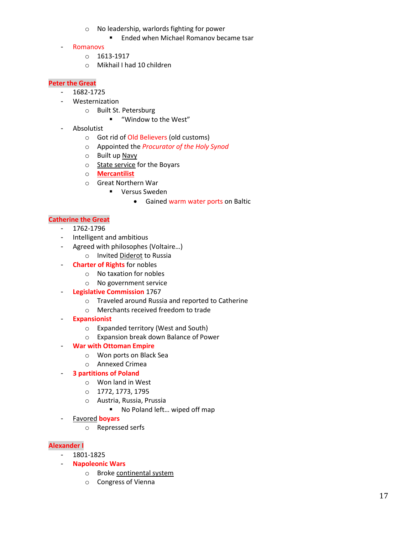- o No leadership, warlords fighting for power
	- **Ended when Michael Romanov became tsar**
- Romanovs
	- o 1613-1917
	- o Mikhail I had 10 children

#### **Peter the Great**

- 1682-1725
- Westernization
	- o Built St. Petersburg
		- "Window to the West"
- Absolutist
	- o Got rid of Old Believers (old customs)
	- o Appointed the *Procurator of the Holy Synod*
	- o Built up Navy
	- o State service for the Boyars
	- o **Mercantilist**
	- o Great Northern War
		- **•** Versus Sweden
			- Gained warm water ports on Baltic

## **Catherine the Great**

- 1762-1796
- Intelligent and ambitious
- Agreed with philosophes (Voltaire…)
	- o Invited Diderot to Russia
- **Charter of Rights** for nobles
	- o No taxation for nobles
	- o No government service
- **Legislative Commission** 1767
	- o Traveled around Russia and reported to Catherine
	- o Merchants received freedom to trade
- **Expansionist** 
	- o Expanded territory (West and South)
	- o Expansion break down Balance of Power

## - **War with Ottoman Empire**

- o Won ports on Black Sea
- o Annexed Crimea
- **3 partitions of Poland** 
	- o Won land in West
	- o 1772, 1773, 1795
	- o Austria, Russia, Prussia
		- No Poland left... wiped off map
- Favored **boyars**
	- o Repressed serfs

## **Alexander I**

- 1801-1825
- **Napoleonic Wars**
	- o Broke continental system
	- o Congress of Vienna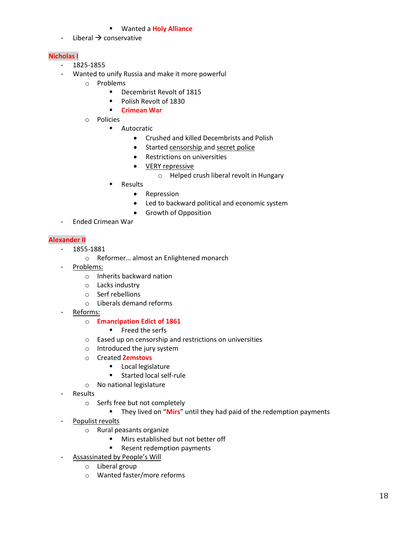#### Wanted a **Holy Alliance**

- Liberal  $\rightarrow$  conservative

## **Nicholas I**

- 1825-1855
- Wanted to unify Russia and make it more powerful
	- o Problems
		- Decembrist Revolt of 1815
		- **Polish Revolt of 1830**
		- **Crimean War**
	- o Policies
		- **Autocratic** 
			- Crushed and killed Decembrists and Polish
			- Started censorship and secret police
			- Restrictions on universities
			- VERY repressive
				- o Helped crush liberal revolt in Hungary
			- **Results** 
				- Repression
				- Led to backward political and economic system
				- Growth of Opposition
- Ended Crimean War

## **Alexander II**

- 1855-1881
	- o Reformer… almost an Enlightened monarch
- Problems:
	- o Inherits backward nation
	- o Lacks industry
	- o Serf rebellions
	- o Liberals demand reforms
- Reforms:

## o **Emancipation Edict of 1861**

- **Freed the serfs**
- o Eased up on censorship and restrictions on universities
- o Introduced the jury system
- o Created **Zemstovs**
	- **Local legislature**
	- **Started local self-rule**
- o No national legislature
- **Results** 
	- o Serfs free but not completely
		- **They lived on "Mirs"** until they had paid of the redemption payments
- Populist revolts
	- o Rural peasants organize
		- **Mirs established but not better off**
		- **Resent redemption payments**
- Assassinated by People's Will
	- o Liberal group
	- o Wanted faster/more reforms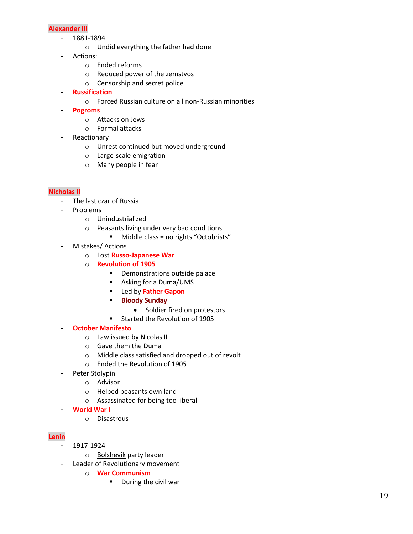#### **Alexander III**

- 1881-1894
	- o Undid everything the father had done
- Actions:
	- o Ended reforms
	- o Reduced power of the zemstvos
	- o Censorship and secret police
- **Russification** 
	- o Forced Russian culture on all non-Russian minorities
- **Pogroms** 
	- o Attacks on Jews
	- o Formal attacks
- Reactionary
	- o Unrest continued but moved underground
	- o Large-scale emigration
	- o Many people in fear

## **Nicholas II**

- The last czar of Russia
- Problems
	- o Unindustrialized
	- o Peasants living under very bad conditions
		- **Middle class = no rights "Octobrists"**
- Mistakes/ Actions
	- o Lost **Russo-Japanese War**
	- o **Revolution of 1905**
		- **•** Demonstrations outside palace
		- Asking for a Duma/UMS
		- Led by **Father Gapon**
		- **Bloody Sunday** 
			- Soldier fired on protestors
		- **Started the Revolution of 1905**

## - **October Manifesto**

- o Law issued by Nicolas II
- o Gave them the Duma
- o Middle class satisfied and dropped out of revolt
- o Ended the Revolution of 1905
- Peter Stolypin
	- o Advisor
	- o Helped peasants own land
	- o Assassinated for being too liberal
- **World War I**
	- o Disastrous

## **Lenin**

- 1917-1924
	- o Bolshevik party leader
- Leader of Revolutionary movement
	- o **War Communism** 
		- **During the civil war**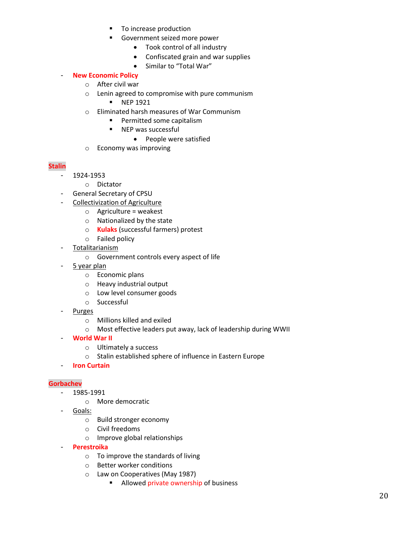- To increase production
- Government seized more power
	- Took control of all industry
	- Confiscated grain and war supplies
	- Similar to "Total War"

# - **New Economic Policy**

- o After civil war
- o Lenin agreed to compromise with pure communism
	- **NEP 1921**
- o Eliminated harsh measures of War Communism
	- **Permitted some capitalism**
	- **NEP** was successful
		- People were satisfied
- o Economy was improving

## **Stalin**

- 1924-1953
	- o Dictator
- General Secretary of CPSU
- Collectivization of Agriculture
	- $\circ$  Agriculture = weakest
	- o Nationalized by the state
	- o **Kulaks** (successful farmers) protest
	- o Failed policy
- Totalitarianism
	- o Government controls every aspect of life
- 5 year plan
	- o Economic plans
	- o Heavy industrial output
	- o Low level consumer goods
	- o Successful
- **Purges** 
	- o Millions killed and exiled
	- o Most effective leaders put away, lack of leadership during WWII
- **World War II** 
	- o Ultimately a success
	- o Stalin established sphere of influence in Eastern Europe
- **Iron Curtain**

## **Gorbachev**

- 1985-1991
	- o More democratic
- Goals:
	- o Build stronger economy
	- o Civil freedoms
	- o Improve global relationships
- **Perestroika** 
	- o To improve the standards of living
	- o Better worker conditions
	- o Law on Cooperatives (May 1987)
		- **Allowed private ownership of business**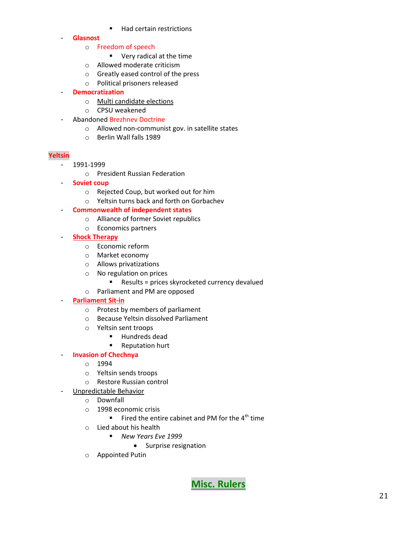- Had certain restrictions
- **Glasnost**
	- o Freedom of speech
		- Very radical at the time
	- o Allowed moderate criticism
	- o Greatly eased control of the press
	- o Political prisoners released
- **Democratization**
	- o Multi candidate elections
	- o CPSU weakened
- Abandoned Brezhnev Doctrine
	- o Allowed non-communist gov. in satellite states
	- o Berlin Wall falls 1989

## **Yeltsin**

- 1991-1999
	- o President Russian Federation
- **Soviet coup** 
	- o Rejected Coup, but worked out for him
	- o Yeltsin turns back and forth on Gorbachev
- **Commonwealth of independent states**
	- o Alliance of former Soviet republics
	- o Economics partners
- **Shock Therapy** 
	- o Economic reform
	- o Market economy
	- o Allows privatizations
	- o No regulation on prices
		- Results = prices skyrocketed currency devalued
	- o Parliament and PM are opposed

# - **Parliament Sit-in**

- o Protest by members of parliament
- o Because Yeltsin dissolved Parliament
- o Yeltsin sent troops
	- **Hundreds dead**
	- **Reputation hurt**

# - **Invasion of Chechnya**

- o 1994
- o Yeltsin sends troops
- o Restore Russian control
- Unpredictable Behavior
	- o Downfall
	- o 1998 economic crisis
		- Fired the entire cabinet and PM for the  $4<sup>th</sup>$  time
	- o Lied about his health
		- *New Years Eve 1999*
			- Surprise resignation
	- o Appointed Putin